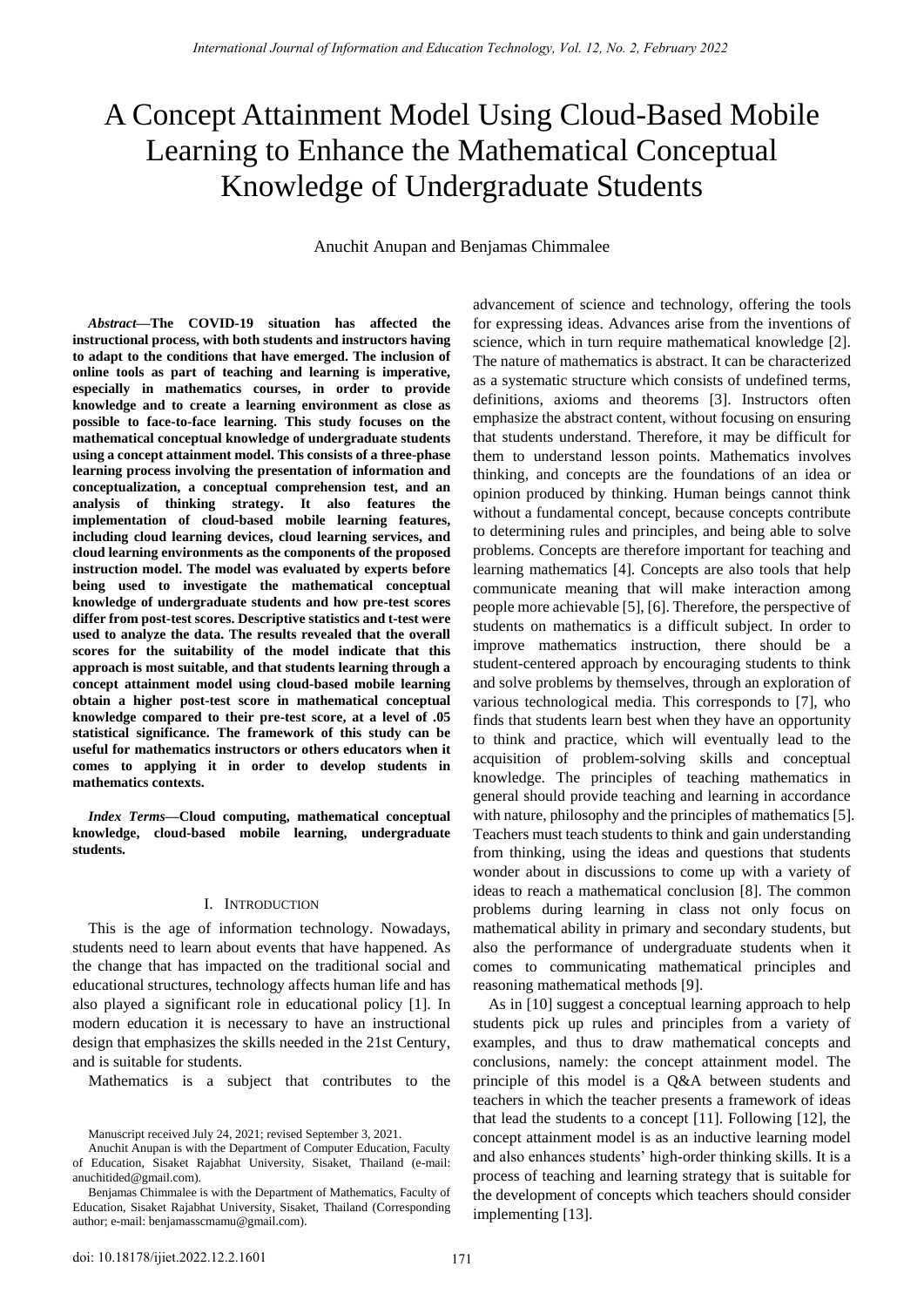# A Concept Attainment Model Using Cloud-Based Mobile Learning to Enhance the Mathematical Conceptual Knowledge of Undergraduate Students

Anuchit Anupan and Benjamas Chimmalee

*Abstract***—The COVID-19 situation has affected the instructional process, with both students and instructors having to adapt to the conditions that have emerged. The inclusion of online tools as part of teaching and learning is imperative, especially in mathematics courses, in order to provide knowledge and to create a learning environment as close as possible to face-to-face learning. This study focuses on the mathematical conceptual knowledge of undergraduate students using a concept attainment model. This consists of a three-phase learning process involving the presentation of information and conceptualization, a conceptual comprehension test, and an analysis of thinking strategy. It also features the implementation of cloud-based mobile learning features, including cloud learning devices, cloud learning services, and cloud learning environments as the components of the proposed instruction model. The model was evaluated by experts before being used to investigate the mathematical conceptual knowledge of undergraduate students and how pre-test scores differ from post-test scores. Descriptive statistics and t-test were used to analyze the data. The results revealed that the overall scores for the suitability of the model indicate that this approach is most suitable, and that students learning through a concept attainment model using cloud-based mobile learning obtain a higher post-test score in mathematical conceptual knowledge compared to their pre-test score, at a level of .05 statistical significance. The framework of this study can be useful for mathematics instructors or others educators when it comes to applying it in order to develop students in mathematics contexts.** 

*Index Terms***—Cloud computing, mathematical conceptual knowledge, cloud-based mobile learning, undergraduate students.** 

## I. INTRODUCTION

This is the age of information technology. Nowadays, students need to learn about events that have happened. As the change that has impacted on the traditional social and educational structures, technology affects human life and has also played a significant role in educational policy [1]. In modern education it is necessary to have an instructional design that emphasizes the skills needed in the 21st Century, and is suitable for students.

Mathematics is a subject that contributes to the

advancement of science and technology, offering the tools for expressing ideas. Advances arise from the inventions of science, which in turn require mathematical knowledge [2]. The nature of mathematics is abstract. It can be characterized as a systematic structure which consists of undefined terms, definitions, axioms and theorems [3]. Instructors often emphasize the abstract content, without focusing on ensuring that students understand. Therefore, it may be difficult for them to understand lesson points. Mathematics involves thinking, and concepts are the foundations of an idea or opinion produced by thinking. Human beings cannot think without a fundamental concept, because concepts contribute to determining rules and principles, and being able to solve problems. Concepts are therefore important for teaching and learning mathematics [4]. Concepts are also tools that help communicate meaning that will make interaction among people more achievable [5], [6]. Therefore, the perspective of students on mathematics is a difficult subject. In order to improve mathematics instruction, there should be a student-centered approach by encouraging students to think and solve problems by themselves, through an exploration of various technological media. This corresponds to [7], who finds that students learn best when they have an opportunity to think and practice, which will eventually lead to the acquisition of problem-solving skills and conceptual knowledge. The principles of teaching mathematics in general should provide teaching and learning in accordance with nature, philosophy and the principles of mathematics [5]. Teachers must teach students to think and gain understanding from thinking, using the ideas and questions that students wonder about in discussions to come up with a variety of ideas to reach a mathematical conclusion [8]. The common problems during learning in class not only focus on mathematical ability in primary and secondary students, but also the performance of undergraduate students when it comes to communicating mathematical principles and reasoning mathematical methods [9].

As in [10] suggest a conceptual learning approach to help students pick up rules and principles from a variety of examples, and thus to draw mathematical concepts and conclusions, namely: the concept attainment model. The principle of this model is a Q&A between students and teachers in which the teacher presents a framework of ideas that lead the students to a concept [11]. Following [12], the concept attainment model is as an inductive learning model and also enhances students' high-order thinking skills. It is a process of teaching and learning strategy that is suitable for the development of concepts which teachers should consider implementing [13].

Manuscript received July 24, 2021; revised September 3, 2021.

Anuchit Anupan is with the Department of Computer Education, Faculty of Education, Sisaket Rajabhat University, Sisaket, Thailand (e-mail: [anuchitided@gmail.com\)](mailto:anuchitided@gmail.com).

Benjamas Chimmalee is with the Department of Mathematics, Faculty of Education, Sisaket Rajabhat University, Sisaket, Thailand (Corresponding author; e-mail: benjamasscmamu@gmail.com).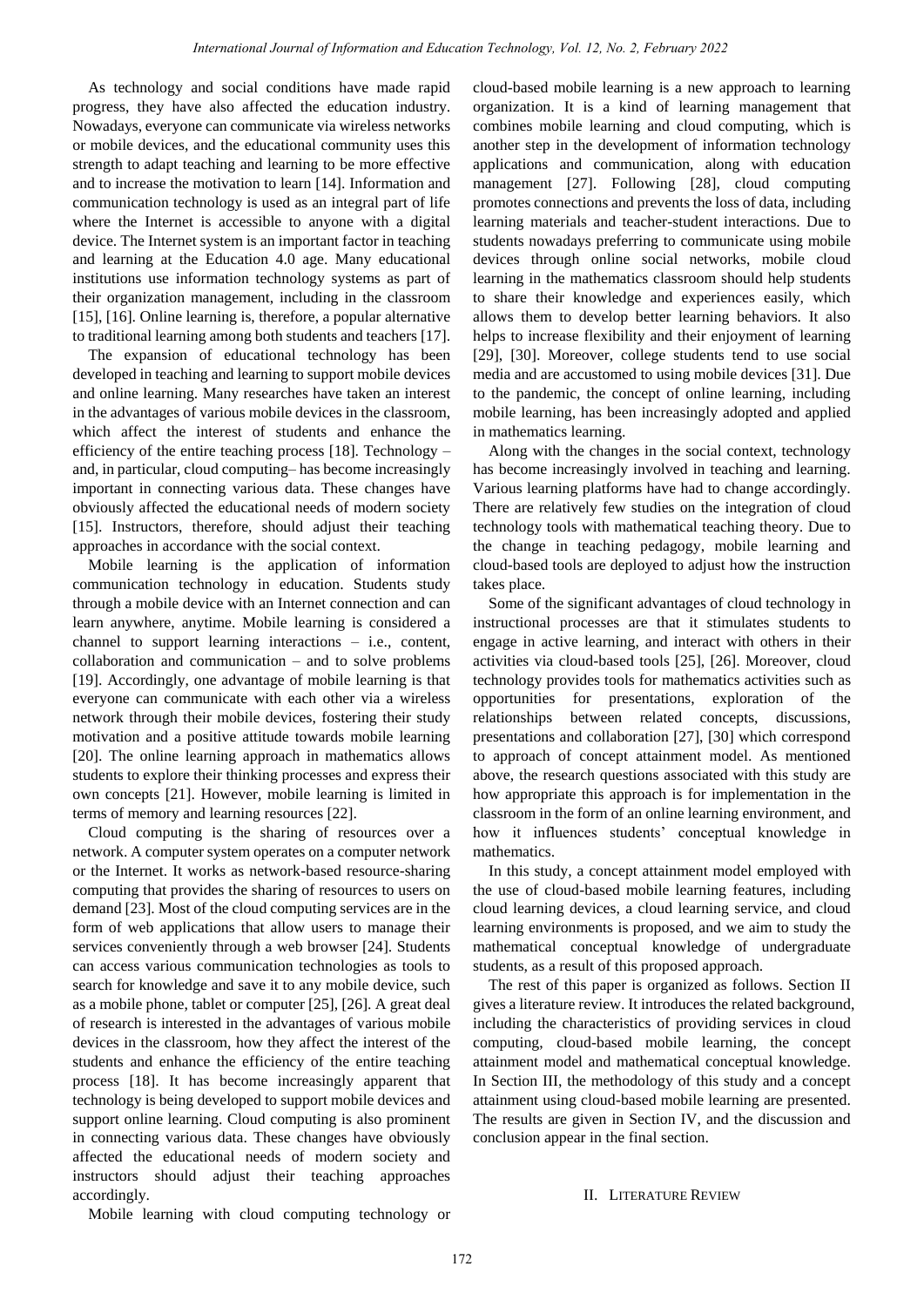As technology and social conditions have made rapid progress, they have also affected the education industry. Nowadays, everyone can communicate via wireless networks or mobile devices, and the educational community uses this strength to adapt teaching and learning to be more effective and to increase the motivation to learn [14]. Information and communication technology is used as an integral part of life where the Internet is accessible to anyone with a digital device. The Internet system is an important factor in teaching and learning at the Education 4.0 age. Many educational institutions use information technology systems as part of their organization management, including in the classroom [15], [16]. Online learning is, therefore, a popular alternative to traditional learning among both students and teachers [17].

The expansion of educational technology has been developed in teaching and learning to support mobile devices and online learning. Many researches have taken an interest in the advantages of various mobile devices in the classroom, which affect the interest of students and enhance the efficiency of the entire teaching process [18]. Technology – and, in particular, cloud computing– has become increasingly important in connecting various data. These changes have obviously affected the educational needs of modern society [15]. Instructors, therefore, should adjust their teaching approaches in accordance with the social context.

Mobile learning is the application of information communication technology in education. Students study through a mobile device with an Internet connection and can learn anywhere, anytime. Mobile learning is considered a channel to support learning interactions – i.e., content, collaboration and communication – and to solve problems [19]. Accordingly, one advantage of mobile learning is that everyone can communicate with each other via a wireless network through their mobile devices, fostering their study motivation and a positive attitude towards mobile learning [20]. The online learning approach in mathematics allows students to explore their thinking processes and express their own concepts [21]. However, mobile learning is limited in terms of memory and learning resources [22].

Cloud computing is the sharing of resources over a network. A computer system operates on a computer network or the Internet. It works as network-based resource-sharing computing that provides the sharing of resources to users on demand [23]. Most of the cloud computing services are in the form of web applications that allow users to manage their services conveniently through a web browser [24]. Students can access various communication technologies as tools to search for knowledge and save it to any mobile device, such as a mobile phone, tablet or computer [25], [26]. A great deal of research is interested in the advantages of various mobile devices in the classroom, how they affect the interest of the students and enhance the efficiency of the entire teaching process [18]. It has become increasingly apparent that technology is being developed to support mobile devices and support online learning. Cloud computing is also prominent in connecting various data. These changes have obviously affected the educational needs of modern society and instructors should adjust their teaching approaches accordingly.

cloud-based mobile learning is a new approach to learning organization. It is a kind of learning management that combines mobile learning and cloud computing, which is another step in the development of information technology applications and communication, along with education management [27]. Following [28], cloud computing promotes connections and prevents the loss of data, including learning materials and teacher-student interactions. Due to students nowadays preferring to communicate using mobile devices through online social networks, mobile cloud learning in the mathematics classroom should help students to share their knowledge and experiences easily, which allows them to develop better learning behaviors. It also helps to increase flexibility and their enjoyment of learning [29], [30]. Moreover, college students tend to use social media and are accustomed to using mobile devices [31]. Due to the pandemic, the concept of online learning, including mobile learning, has been increasingly adopted and applied in mathematics learning.

Along with the changes in the social context, technology has become increasingly involved in teaching and learning. Various learning platforms have had to change accordingly. There are relatively few studies on the integration of cloud technology tools with mathematical teaching theory. Due to the change in teaching pedagogy, mobile learning and cloud-based tools are deployed to adjust how the instruction takes place.

Some of the significant advantages of cloud technology in instructional processes are that it stimulates students to engage in active learning, and interact with others in their activities via cloud-based tools [25], [26]. Moreover, cloud technology provides tools for mathematics activities such as opportunities for presentations, exploration of the relationships between related concepts, discussions, presentations and collaboration [27], [30] which correspond to approach of concept attainment model. As mentioned above, the research questions associated with this study are how appropriate this approach is for implementation in the classroom in the form of an online learning environment, and how it influences students' conceptual knowledge in mathematics.

In this study, a concept attainment model employed with the use of cloud-based mobile learning features, including cloud learning devices, a cloud learning service, and cloud learning environments is proposed, and we aim to study the mathematical conceptual knowledge of undergraduate students, as a result of this proposed approach.

The rest of this paper is organized as follows. Section II gives a literature review. It introduces the related background, including the characteristics of providing services in cloud computing, cloud-based mobile learning, the concept attainment model and mathematical conceptual knowledge. In Section III, the methodology of this study and a concept attainment using cloud-based mobile learning are presented. The results are given in Section IV, and the discussion and conclusion appear in the final section.

## II. LITERATURE REVIEW

Mobile learning with cloud computing technology or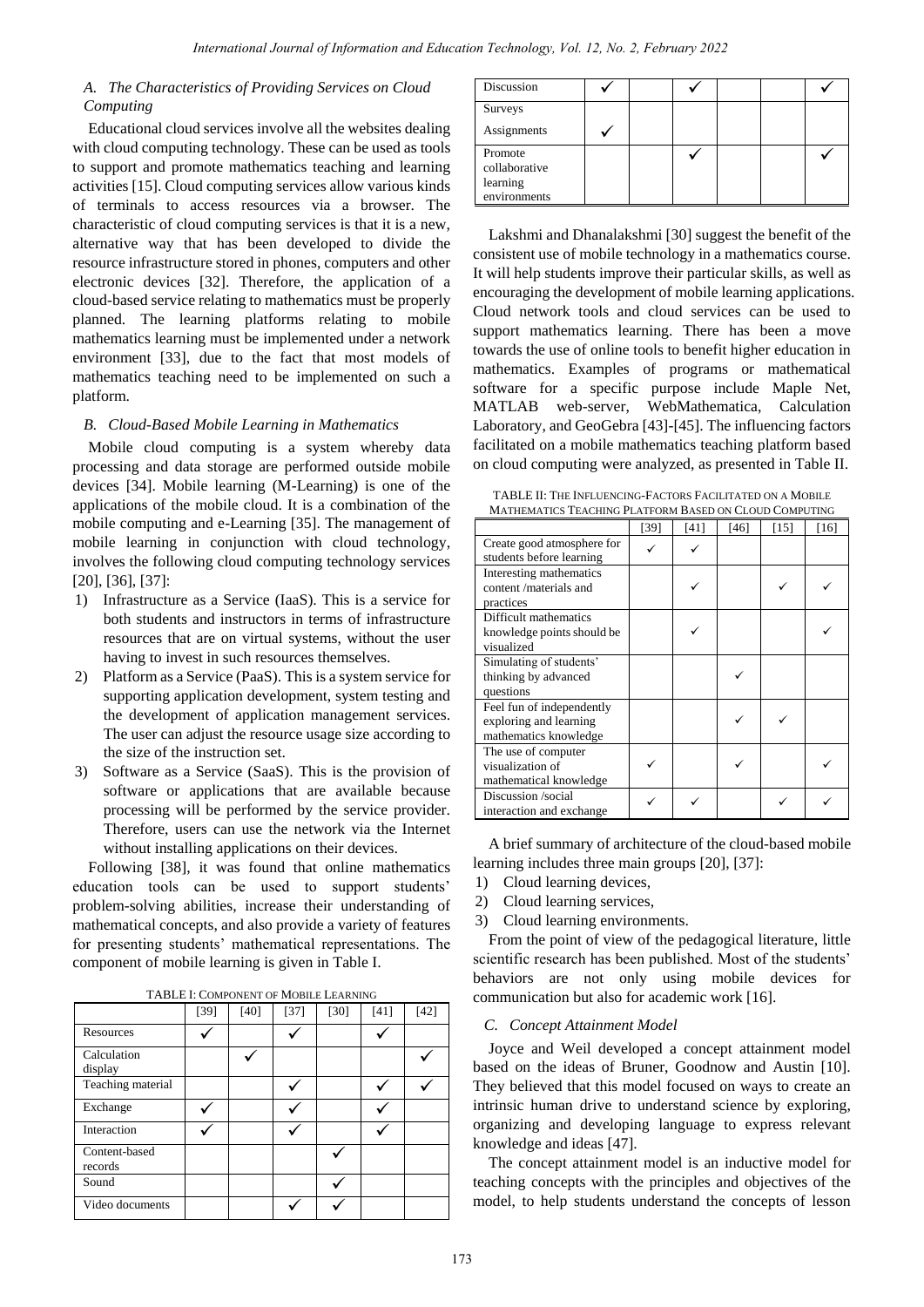# *A. The Characteristics of Providing Services on Cloud Computing*

Educational cloud services involve all the websites dealing with cloud computing technology. These can be used as tools to support and promote mathematics teaching and learning activities [15]. Cloud computing services allow various kinds of terminals to access resources via a browser. The characteristic of cloud computing services is that it is a new, alternative way that has been developed to divide the resource infrastructure stored in phones, computers and other electronic devices [32]. Therefore, the application of a cloud-based service relating to mathematics must be properly planned. The learning platforms relating to mobile mathematics learning must be implemented under a network environment [33], due to the fact that most models of mathematics teaching need to be implemented on such a platform.

# *B. Cloud-Based Mobile Learning in Mathematics*

Mobile cloud computing is a system whereby data processing and data storage are performed outside mobile devices [34]. Mobile learning (M-Learning) is one of the applications of the mobile cloud. It is a combination of the mobile computing and e-Learning [35]. The management of mobile learning in conjunction with cloud technology, involves the following cloud computing technology services [20], [36], [37]:

- 1) Infrastructure as a Service (IaaS). This is a service for both students and instructors in terms of infrastructure resources that are on virtual systems, without the user having to invest in such resources themselves.
- 2) Platform as a Service (PaaS). This is a system service for supporting application development, system testing and the development of application management services. The user can adjust the resource usage size according to the size of the instruction set.
- 3) Software as a Service (SaaS). This is the provision of software or applications that are available because processing will be performed by the service provider. Therefore, users can use the network via the Internet without installing applications on their devices.

Following [38], it was found that online mathematics education tools can be used to support students' problem-solving abilities, increase their understanding of mathematical concepts, and also provide a variety of features for presenting students' mathematical representations. The component of mobile learning is given in Table I.

|                          | I ADLL I. COMI ONEN I OF MODILE LEARNING |        |        |        |      |        |
|--------------------------|------------------------------------------|--------|--------|--------|------|--------|
|                          | [39]                                     | $[40]$ | $[37]$ | $[30]$ | [41] | $[42]$ |
| Resources                |                                          |        |        |        |      |        |
| Calculation<br>display   |                                          |        |        |        |      |        |
| Teaching material        |                                          |        |        |        |      |        |
| Exchange                 |                                          |        |        |        |      |        |
| Interaction              |                                          |        |        |        |      |        |
| Content-based<br>records |                                          |        |        |        |      |        |
| Sound                    |                                          |        |        |        |      |        |
| Video documents          |                                          |        |        |        |      |        |

TABLE I: COMPONENT OF MOBILE LEARNING

| Discussion                                           |  |  |  |
|------------------------------------------------------|--|--|--|
| Surveys<br>Assignments                               |  |  |  |
| Promote<br>collaborative<br>learning<br>environments |  |  |  |

Lakshmi and Dhanalakshmi [30] suggest the benefit of the consistent use of mobile technology in a mathematics course. It will help students improve their particular skills, as well as encouraging the development of mobile learning applications. Cloud network tools and cloud services can be used to support mathematics learning. There has been a move towards the use of online tools to benefit higher education in mathematics. Examples of programs or mathematical software for a specific purpose include Maple Net, MATLAB web-server, WebMathematica, Calculation Laboratory, and GeoGebra [43]-[45]. The influencing factors facilitated on a mobile mathematics teaching platform based on cloud computing were analyzed, as presented in Table II.

TABLE II: THE INFLUENCING-FACTORS FACILITATED ON A MOBILE MATTLATING DEATEOR LED AND

|                                                                              | 3111 ON CLOUD COME 01 HW |      |      |      |      |
|------------------------------------------------------------------------------|--------------------------|------|------|------|------|
|                                                                              | [39]                     | [41] | [46] | [15] | [16] |
| Create good atmosphere for<br>students before learning                       |                          |      |      |      |      |
| Interesting mathematics<br>content/materials and<br>practices                |                          |      |      |      |      |
| Difficult mathematics<br>knowledge points should be<br>visualized            |                          |      |      |      |      |
| Simulating of students'<br>thinking by advanced<br>questions                 |                          |      |      |      |      |
| Feel fun of independently<br>exploring and learning<br>mathematics knowledge |                          |      |      |      |      |
| The use of computer<br>visualization of<br>mathematical knowledge            |                          |      |      |      |      |
| Discussion /social<br>interaction and exchange                               |                          |      |      |      |      |

A brief summary of architecture of the cloud-based mobile learning includes three main groups [20], [37]:

- 1) Cloud learning devices,
- 2) Cloud learning services,
- 3) Cloud learning environments.

From the point of view of the pedagogical literature, little scientific research has been published. Most of the students' behaviors are not only using mobile devices for communication but also for academic work [16].

# *C. Concept Attainment Model*

Joyce and Weil developed a concept attainment model based on the ideas of Bruner, Goodnow and Austin [10]. They believed that this model focused on ways to create an intrinsic human drive to understand science by exploring, organizing and developing language to express relevant knowledge and ideas [47].

The concept attainment model is an inductive model for teaching concepts with the principles and objectives of the model, to help students understand the concepts of lesson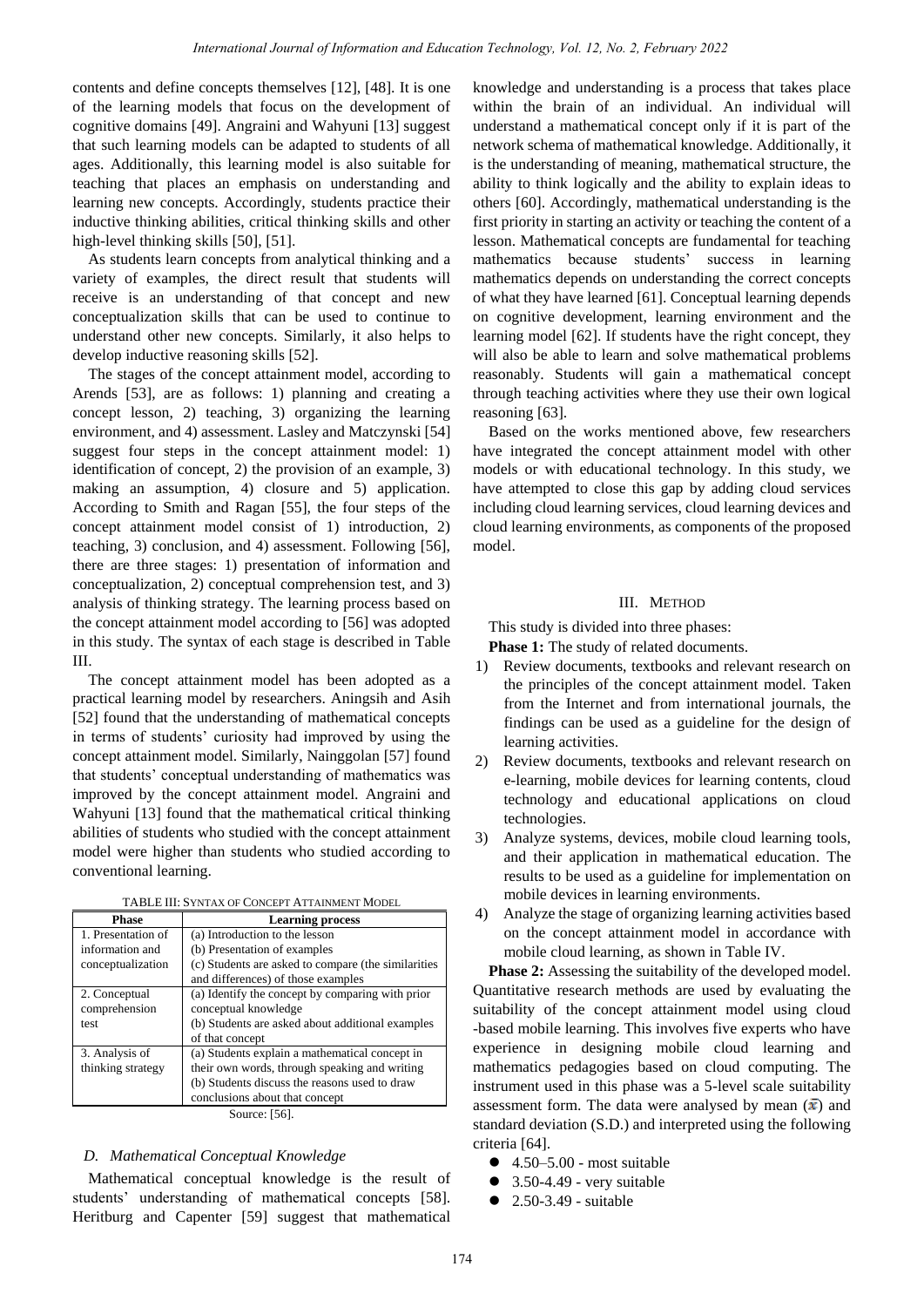contents and define concepts themselves [12], [48]. It is one of the learning models that focus on the development of cognitive domains [49]. Angraini and Wahyuni [13] suggest that such learning models can be adapted to students of all ages. Additionally, this learning model is also suitable for teaching that places an emphasis on understanding and learning new concepts. Accordingly, students practice their inductive thinking abilities, critical thinking skills and other high-level thinking skills [50], [51].

As students learn concepts from analytical thinking and a variety of examples, the direct result that students will receive is an understanding of that concept and new conceptualization skills that can be used to continue to understand other new concepts. Similarly, it also helps to develop inductive reasoning skills [52].

The stages of the concept attainment model, according to Arends [53], are as follows: 1) planning and creating a concept lesson, 2) teaching, 3) organizing the learning environment, and 4) assessment. Lasley and Matczynski [54] suggest four steps in the concept attainment model: 1) identification of concept, 2) the provision of an example, 3) making an assumption, 4) closure and 5) application. According to Smith and Ragan [55], the four steps of the concept attainment model consist of 1) introduction, 2) teaching, 3) conclusion, and 4) assessment. Following [56], there are three stages: 1) presentation of information and conceptualization, 2) conceptual comprehension test, and 3) analysis of thinking strategy. The learning process based on the concept attainment model according to [56] was adopted in this study. The syntax of each stage is described in Table III.

The concept attainment model has been adopted as a practical learning model by researchers. Aningsih and Asih [52] found that the understanding of mathematical concepts in terms of students' curiosity had improved by using the concept attainment model. Similarly, Nainggolan [57] found that students' conceptual understanding of mathematics was improved by the concept attainment model. Angraini and Wahyuni [13] found that the mathematical critical thinking abilities of students who studied with the concept attainment model were higher than students who studied according to conventional learning.

| TABLE III: SYNTAX OF CONCEPT ATTAINMENT MODEL |  |
|-----------------------------------------------|--|
|                                               |  |

| <b>Phase</b>           | <b>Learning process</b>                             |  |  |  |
|------------------------|-----------------------------------------------------|--|--|--|
| 1. Presentation of     | (a) Introduction to the lesson                      |  |  |  |
| information and        | (b) Presentation of examples                        |  |  |  |
| conceptualization      | (c) Students are asked to compare (the similarities |  |  |  |
|                        | and differences) of those examples                  |  |  |  |
| 2. Conceptual          | (a) Identify the concept by comparing with prior    |  |  |  |
| comprehension          | conceptual knowledge                                |  |  |  |
| test                   | (b) Students are asked about additional examples    |  |  |  |
|                        | of that concept                                     |  |  |  |
| 3. Analysis of         | (a) Students explain a mathematical concept in      |  |  |  |
| thinking strategy      | their own words, through speaking and writing       |  |  |  |
|                        | (b) Students discuss the reasons used to draw       |  |  |  |
|                        | conclusions about that concept                      |  |  |  |
| $S_{\text{out}}$ $E<1$ |                                                     |  |  |  |

Source: [56].

# *D. Mathematical Conceptual Knowledge*

Mathematical conceptual knowledge is the result of students' understanding of mathematical concepts [58]. Heritburg and Capenter [59] suggest that mathematical knowledge and understanding is a process that takes place within the brain of an individual. An individual will understand a mathematical concept only if it is part of the network schema of mathematical knowledge. Additionally, it is the understanding of meaning, mathematical structure, the ability to think logically and the ability to explain ideas to others [60]. Accordingly, mathematical understanding is the first priority in starting an activity or teaching the content of a lesson. Mathematical concepts are fundamental for teaching mathematics because students' success in learning mathematics depends on understanding the correct concepts of what they have learned [61]. Conceptual learning depends on cognitive development, learning environment and the learning model [62]. If students have the right concept, they will also be able to learn and solve mathematical problems reasonably. Students will gain a mathematical concept through teaching activities where they use their own logical reasoning [63].

Based on the works mentioned above, few researchers have integrated the concept attainment model with other models or with educational technology. In this study, we have attempted to close this gap by adding cloud services including cloud learning services, cloud learning devices and cloud learning environments, as components of the proposed model.

# III. METHOD

This study is divided into three phases:

**Phase 1:** The study of related documents.

- 1) Review documents, textbooks and relevant research on the principles of the concept attainment model. Taken from the Internet and from international journals, the findings can be used as a guideline for the design of learning activities.
- 2) Review documents, textbooks and relevant research on e-learning, mobile devices for learning contents, cloud technology and educational applications on cloud technologies.
- 3) Analyze systems, devices, mobile cloud learning tools, and their application in mathematical education. The results to be used as a guideline for implementation on mobile devices in learning environments.
- 4) Analyze the stage of organizing learning activities based on the concept attainment model in accordance with mobile cloud learning, as shown in Table IV.

**Phase 2:** Assessing the suitability of the developed model. Quantitative research methods are used by evaluating the suitability of the concept attainment model using cloud -based mobile learning. This involves five experts who have experience in designing mobile cloud learning and mathematics pedagogies based on cloud computing. The instrument used in this phase was a 5-level scale suitability assessment form. The data were analysed by mean  $(\bar{x})$  and standard deviation (S.D.) and interpreted using the following criteria [64].

- $\bullet$  4.50–5.00 most suitable
- 3.50-4.49 very suitable
- 2.50-3.49 suitable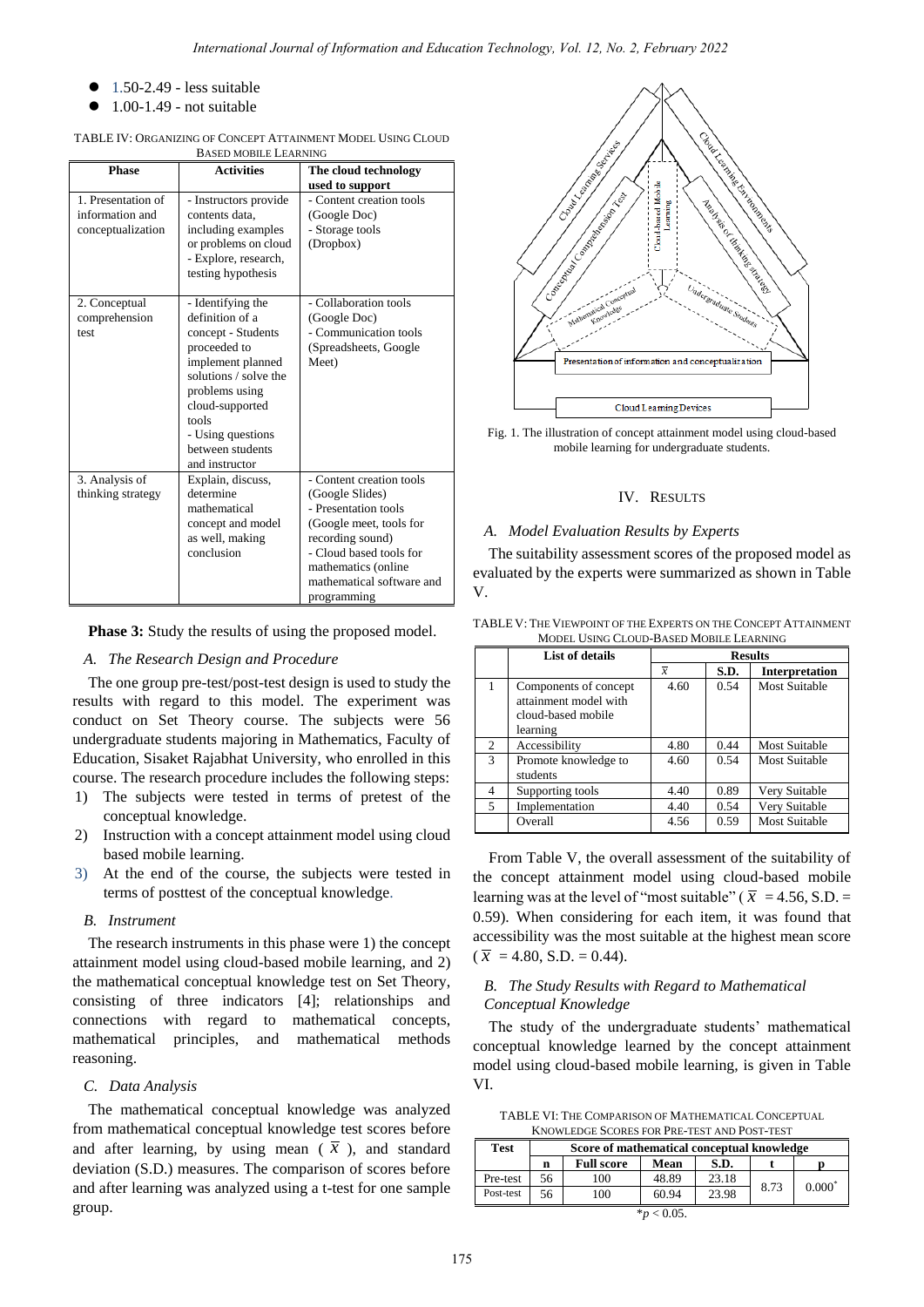- 1.50-2.49 less suitable
- 1.00-1.49 not suitable

| TABLE IV: ORGANIZING OF CONCEPT ATTAINMENT MODEL USING CLOUD |
|--------------------------------------------------------------|
| BASED MOBILE LEARNING                                        |

| <b>Phase</b>                                               | <b>Activities</b>                                                                                                                                                                                                                 | The cloud technology                                                                                                                                                                                             |
|------------------------------------------------------------|-----------------------------------------------------------------------------------------------------------------------------------------------------------------------------------------------------------------------------------|------------------------------------------------------------------------------------------------------------------------------------------------------------------------------------------------------------------|
|                                                            |                                                                                                                                                                                                                                   | used to support                                                                                                                                                                                                  |
| 1. Presentation of<br>information and<br>conceptualization | - Instructors provide<br>contents data.<br>including examples<br>or problems on cloud<br>- Explore, research,<br>testing hypothesis                                                                                               | - Content creation tools<br>(Google Doc)<br>- Storage tools<br>(Dropbox)                                                                                                                                         |
| 2. Conceptual<br>comprehension<br>test                     | - Identifying the<br>definition of a<br>concept - Students<br>proceeded to<br>implement planned<br>solutions / solve the<br>problems using<br>cloud-supported<br>tools<br>- Using questions<br>between students<br>and instructor | - Collaboration tools<br>(Google Doc)<br>- Communication tools<br>(Spreadsheets, Google<br>Meet)                                                                                                                 |
| 3. Analysis of<br>thinking strategy                        | Explain, discuss,<br>determine<br>mathematical<br>concept and model<br>as well, making<br>conclusion                                                                                                                              | - Content creation tools<br>(Google Slides)<br>- Presentation tools<br>(Google meet, tools for<br>recording sound)<br>- Cloud based tools for<br>mathematics (online<br>mathematical software and<br>programming |

**Phase 3:** Study the results of using the proposed model.

# *A. The Research Design and Procedure*

The one group pre-test/post-test design is used to study the results with regard to this model. The experiment was conduct on Set Theory course. The subjects were 56 undergraduate students majoring in Mathematics, Faculty of Education, Sisaket Rajabhat University, who enrolled in this course. The research procedure includes the following steps:

- 1) The subjects were tested in terms of pretest of the conceptual knowledge.
- 2) Instruction with a concept attainment model using cloud based mobile learning.
- 3) At the end of the course, the subjects were tested in terms of posttest of the conceptual knowledge.

# *B. Instrument*

The research instruments in this phase were 1) the concept attainment model using cloud-based mobile learning, and 2) the mathematical conceptual knowledge test on Set Theory, consisting of three indicators [4]; relationships and connections with regard to mathematical concepts, mathematical principles, and mathematical methods reasoning.

# *C. Data Analysis*

The mathematical conceptual knowledge was analyzed from mathematical conceptual knowledge test scores before and after learning, by using mean  $(\bar{x})$ , and standard deviation (S.D.) measures. The comparison of scores before and after learning was analyzed using a t-test for one sample group.



Fig. 1. The illustration of concept attainment model using cloud-based mobile learning for undergraduate students.

# IV. RESULTS

## *A. Model Evaluation Results by Experts*

The suitability assessment scores of the proposed model as evaluated by the experts were summarized as shown in Table V.

TABLE V: THE VIEWPOINT OF THE EXPERTS ON THE CONCEPT ATTAINMENT MODEL USING CLOUD-BASED MOBILE LEARNING

|                | List of details                                                                  | <b>Results</b> |      |                       |  |
|----------------|----------------------------------------------------------------------------------|----------------|------|-----------------------|--|
|                |                                                                                  | $\overline{x}$ | S.D. | <b>Interpretation</b> |  |
|                | Components of concept<br>attainment model with<br>cloud-based mobile<br>learning | 4.60           | 0.54 | <b>Most Suitable</b>  |  |
| 2              | Accessibility                                                                    | 4.80           | 0.44 | <b>Most Suitable</b>  |  |
| 3              | Promote knowledge to<br>students                                                 | 4.60           | 0.54 | Most Suitable         |  |
| $\overline{4}$ | Supporting tools                                                                 | 4.40           | 0.89 | Very Suitable         |  |
| .5             | Implementation                                                                   | 4.40           | 0.54 | Very Suitable         |  |
|                | Overall                                                                          | 4.56           | 0.59 | <b>Most Suitable</b>  |  |

From Table V, the overall assessment of the suitability of the concept attainment model using cloud-based mobile learning was at the level of "most suitable" ( $\bar{x}$  = 4.56, S.D. = 0.59). When considering for each item, it was found that accessibility was the most suitable at the highest mean score  $(\bar{x} = 4.80, S.D. = 0.44).$ 

# *B. The Study Results with Regard to Mathematical Conceptual Knowledge*

The study of the undergraduate students' mathematical conceptual knowledge learned by the concept attainment model using cloud-based mobile learning, is given in Table VI.

TABLE VI: THE COMPARISON OF MATHEMATICAL CONCEPTUAL KNOWLEDGE SCORES FOR PRE-TEST AND POST-TEST

| <b>Test</b>     | Score of mathematical conceptual knowledge |                                   |       |       |      |          |  |  |
|-----------------|--------------------------------------------|-----------------------------------|-------|-------|------|----------|--|--|
|                 | n                                          | <b>Full score</b><br>Mean<br>S.D. |       |       |      |          |  |  |
| Pre-test        | 56                                         | 100                               | 48.89 | 23.18 |      |          |  |  |
| Post-test       | 56                                         | 100                               | 60.94 | 23.98 | 8.73 | $0.000*$ |  |  |
| $*_{p}$ < 0.05. |                                            |                                   |       |       |      |          |  |  |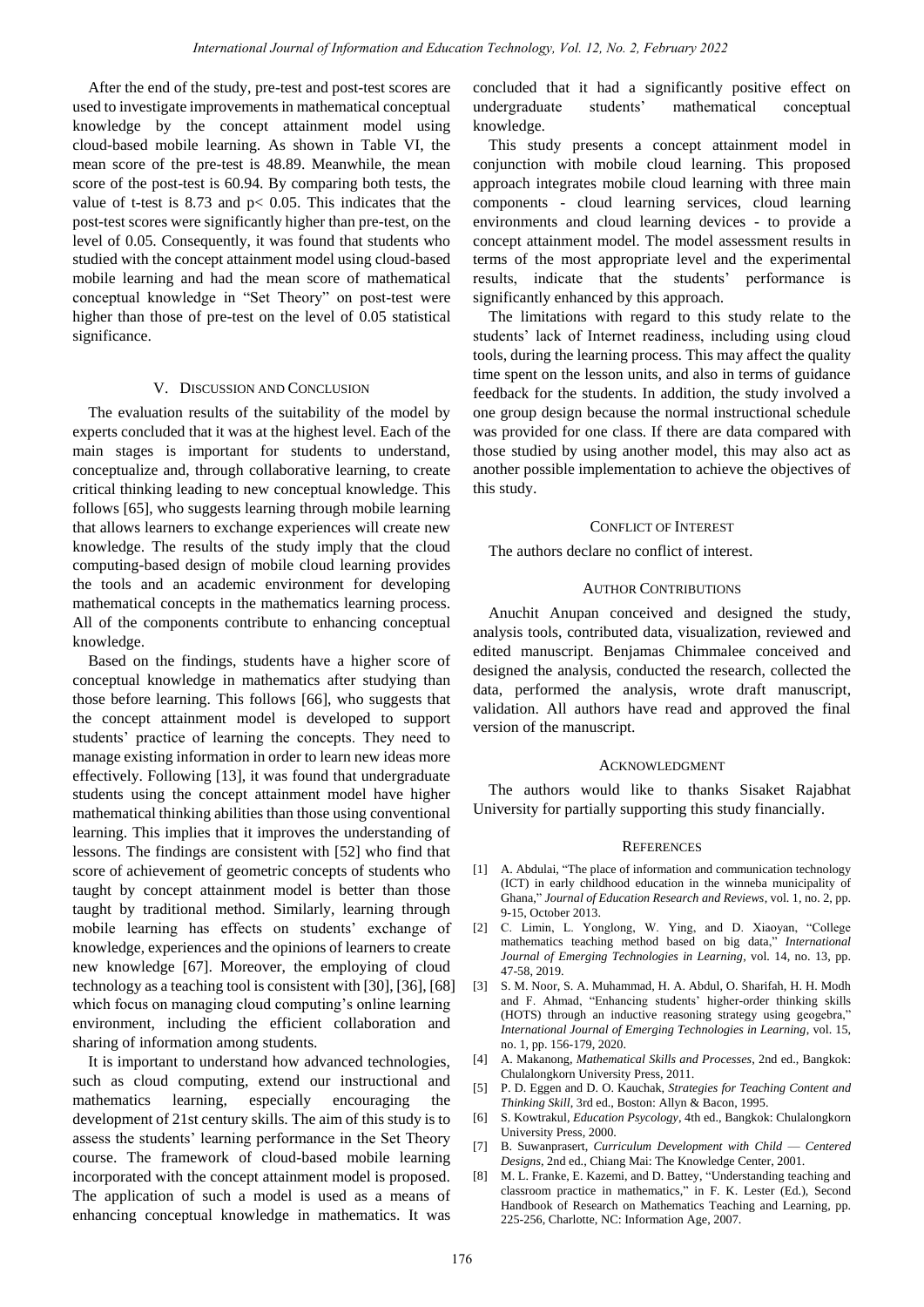After the end of the study, pre-test and post-test scores are used to investigate improvements in mathematical conceptual knowledge by the concept attainment model using cloud-based mobile learning. As shown in Table VI, the mean score of the pre-test is 48.89. Meanwhile, the mean score of the post-test is 60.94. By comparing both tests, the value of t-test is 8.73 and  $p < 0.05$ . This indicates that the post-test scores were significantly higher than pre-test, on the level of 0.05. Consequently, it was found that students who studied with the concept attainment model using cloud-based mobile learning and had the mean score of mathematical conceptual knowledge in "Set Theory" on post-test were higher than those of pre-test on the level of 0.05 statistical significance.

## V. DISCUSSION AND CONCLUSION

The evaluation results of the suitability of the model by experts concluded that it was at the highest level. Each of the main stages is important for students to understand, conceptualize and, through collaborative learning, to create critical thinking leading to new conceptual knowledge. This follows [65], who suggests learning through mobile learning that allows learners to exchange experiences will create new knowledge. The results of the study imply that the cloud computing-based design of mobile cloud learning provides the tools and an academic environment for developing mathematical concepts in the mathematics learning process. All of the components contribute to enhancing conceptual knowledge.

Based on the findings, students have a higher score of conceptual knowledge in mathematics after studying than those before learning. This follows [66], who suggests that the concept attainment model is developed to support students' practice of learning the concepts. They need to manage existing information in order to learn new ideas more effectively. Following [13], it was found that undergraduate students using the concept attainment model have higher mathematical thinking abilities than those using conventional learning. This implies that it improves the understanding of lessons. The findings are consistent with [52] who find that score of achievement of geometric concepts of students who taught by concept attainment model is better than those taught by traditional method. Similarly, learning through mobile learning has effects on students' exchange of knowledge, experiences and the opinions of learners to create new knowledge [67]. Moreover, the employing of cloud technology as a teaching tool is consistent with [30], [36], [68] which focus on managing cloud computing's online learning environment, including the efficient collaboration and sharing of information among students.

It is important to understand how advanced technologies, such as cloud computing, extend our instructional and mathematics learning, especially encouraging the development of 21st century skills. The aim of this study is to assess the students' learning performance in the Set Theory course. The framework of cloud-based mobile learning incorporated with the concept attainment model is proposed. The application of such a model is used as a means of enhancing conceptual knowledge in mathematics. It was concluded that it had a significantly positive effect on undergraduate students' mathematical conceptual knowledge.

This study presents a concept attainment model in conjunction with mobile cloud learning. This proposed approach integrates mobile cloud learning with three main components - cloud learning services, cloud learning environments and cloud learning devices - to provide a concept attainment model. The model assessment results in terms of the most appropriate level and the experimental results, indicate that the students' performance is significantly enhanced by this approach.

The limitations with regard to this study relate to the students' lack of Internet readiness, including using cloud tools, during the learning process. This may affect the quality time spent on the lesson units, and also in terms of guidance feedback for the students. In addition, the study involved a one group design because the normal instructional schedule was provided for one class. If there are data compared with those studied by using another model, this may also act as another possible implementation to achieve the objectives of this study.

### CONFLICT OF INTEREST

The authors declare no conflict of interest.

# AUTHOR CONTRIBUTIONS

Anuchit Anupan conceived and designed the study, analysis tools, contributed data, visualization, reviewed and edited manuscript. Benjamas Chimmalee conceived and designed the analysis, conducted the research, collected the data, performed the analysis, wrote draft manuscript, validation. All authors have read and approved the final version of the manuscript.

### ACKNOWLEDGMENT

The authors would like to thanks Sisaket Rajabhat University for partially supporting this study financially.

#### **REFERENCES**

- [1] A. Abdulai, "The place of information and communication technology (ICT) in early childhood education in the winneba municipality of Ghana," *Journal of Education Research and Reviews*, vol. 1, no. 2, pp. 9-15, October 2013.
- [2] C. Limin, L. Yonglong, W. Ying, and D. Xiaoyan, "College mathematics teaching method based on big data," *International Journal of Emerging Technologies in Learning*, vol. 14, no. 13, pp. 47-58, 2019.
- [3] S. M. Noor, S. A. Muhammad, H. A. Abdul, O. Sharifah, H. H. Modh and F. Ahmad, "Enhancing students' higher-order thinking skills (HOTS) through an inductive reasoning strategy using geogebra," *International Journal of Emerging Technologies in Learning*, vol. 15, no. 1, pp. 156-179, 2020.
- [4] A. Makanong, *Mathematical Skills and Processes*, 2nd ed., Bangkok: Chulalongkorn University Press, 2011.
- [5] P. D. Eggen and D. O. Kauchak, *Strategies for Teaching Content and Thinking Skill*, 3rd ed., Boston: Allyn & Bacon, 1995.
- [6] S. Kowtrakul, *Education Psycology*, 4th ed., Bangkok: Chulalongkorn University Press, 2000.
- [7] B. Suwanprasert, *Curriculum Development with Child* — *Centered Designs*, 2nd ed., Chiang Mai: The Knowledge Center, 2001.
- [8] M. L. Franke, E. Kazemi, and D. Battey, "Understanding teaching and classroom practice in mathematics," in F. K. Lester (Ed.), Second Handbook of Research on Mathematics Teaching and Learning, pp. 225-256, Charlotte, NC: Information Age, 2007.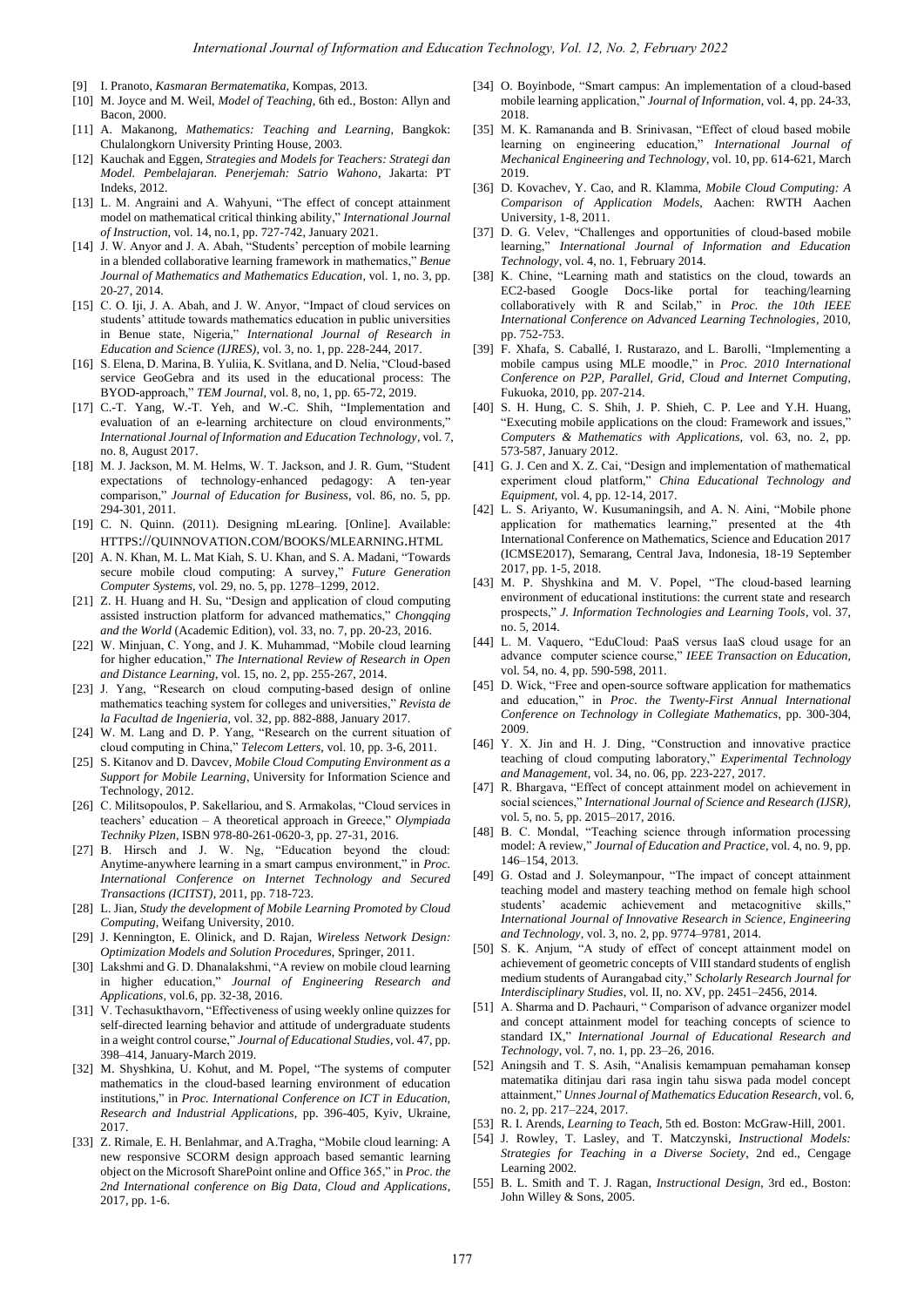- [9] I. Pranoto, *Kasmaran Bermatematika*, Kompas, 2013.
- [10] M. Joyce and M. Weil, *Model of Teaching*, 6th ed., Boston: Allyn and Bacon, 2000.
- [11] A. Makanong, *Mathematics: Teaching and Learning*, Bangkok: Chulalongkorn University Printing House, 2003.
- [12] Kauchak and Eggen, *Strategies and Models for Teachers: Strategi dan Model. Pembelajaran. Penerjemah: Satrio Wahono*, Jakarta: PT Indeks, 2012.
- [13] L. M. Angraini and A. Wahyuni, "The effect of concept attainment model on mathematical critical thinking ability," *International Journal of Instruction*, vol. 14, no.1, pp. 727-742, January 2021.
- [14] J. W. Anyor and J. A. Abah, "Students' perception of mobile learning in a blended collaborative learning framework in mathematics," Benue *Journal of Mathematics and Mathematics Education*, vol. 1, no. 3, pp. 20-27, 2014.
- [15] C. O. Iji, J. A. Abah, and J. W. Anyor, "Impact of cloud services on students' attitude towards mathematics education in public universities in Benue state, Nigeria," *International Journal of Research in Education and Science (IJRES)*, vol. 3, no. 1, pp. 228-244, 2017.
- [16] S. Elena, D. Marina, B. Yuliia, K. Svitlana, and D. Nelia, "Cloud-based service GeoGebra and its used in the educational process: The BYOD-approach," TEM Journal, vol. 8, no, 1, pp. 65-72, 2019.
- [17] C.-T. Yang, W.-T. Yeh, and W.-C. Shih, "Implementation and evaluation of an e-learning architecture on cloud environments," *International Journal of Information and Education Technology*, vol. 7, no. 8, August 2017.
- [18] M. J. Jackson, M. M. Helms, W. T. Jackson, and J. R. Gum, "Student expectations of technology-enhanced pedagogy: A ten-year comparison," *Journal of Education for Business*, vol. 86, no. 5, pp. 294-301, 2011.
- [19] C. N. Quinn. (2011). Designing mLearing. [Online]. Available: HTTPS://[QUINNOVATION](https://quinnovation.com/books/mlearning.html).COM/BOOKS/MLEARNING.HTML
- [20] A. N. Khan, M. L. Mat Kiah, S. U. Khan, and S. A. Madani, "Towards secure mobile cloud computing: A survey," Future Generation *Computer Systems*, vol. 29, no. 5, pp. 1278–1299, 2012.
- [21] Z. H. Huang and H. Su, "Design and application of cloud computing assisted instruction platform for advanced mathematics," *Chongqing and the World* (Academic Edition), vol. 33, no. 7, pp. 20-23, 2016.
- [22] W. Minjuan, C. Yong, and J. K. Muhammad, "Mobile cloud learning for higher education," The International Review of Research in Open *and Distance Learning*, vol. 15, no. 2, pp. 255-267, 2014.
- [23] J. Yang, "Research on cloud computing-based design of online mathematics teaching system for colleges and universities," Revista de *la Facultad de Ingenieria*, vol. 32, pp. 882-888, January 2017.
- [24] W. M. Lang and D. P. Yang, "Research on the current situation of cloud computing in China," Telecom Letters, vol. 10, pp. 3-6, 2011.
- [25] S. Kitanov and D. Davcev, *Mobile Cloud Computing Environment as a Support for Mobile Learning*, University for Information Science and Technology, 2012.
- [26] C. Militsopoulos, P. Sakellariou, and S. Armakolas, "Cloud services in teachers' education – A theoretical approach in Greece," Olympiada *Techniky Plzen*, ISBN 978-80-261-0620-3, pp. 27-31, 2016.
- [27] B. Hirsch and J. W. Ng, "Education beyond the cloud: Anytime-anywhere learning in a smart campus environment," in *Proc. International Conference on Internet Technology and Secured Transactions (ICITST)*, 2011, pp. 718-723.
- [28] L. Jian, *Study the development of Mobile Learning Promoted by Cloud Computing*, Weifang University, 2010.
- [29] J. Kennington, E. Olinick, and D. Rajan, *Wireless Network Design: Optimization Models and Solution Procedures*, Springer, 2011.
- [30] Lakshmi and G. D. Dhanalakshmi, "A review on mobile cloud learning in higher education,‖ *Journal of Engineering Research and Applications*, vol.6, pp. 32-38, 2016.
- [31] V. Techasukthavorn, "Effectiveness of using weekly online quizzes for self-directed learning behavior and attitude of undergraduate students in a weight control course," *Journal of Educational Studies*, vol. 47, pp. 398–414, January-March 2019.
- [32] M. Shyshkina, U. Kohut, and M. Popel, "The systems of computer mathematics in the cloud-based learning environment of education institutions," in *Proc. International Conference on ICT in Education*, *Research and Industrial Applications*, pp. 396-405, Kyiv, Ukraine, 2017.
- [33] Z. Rimale, E. H. Benlahmar, and A.Tragha, "Mobile cloud learning: A new responsive SCORM design approach based semantic learning object on the Microsoft SharePoint online and Office 365," in Proc. the *2nd International conference on Big Data, Cloud and Applications*, 2017, pp. 1-6.
- [34] O. Boyinbode, "Smart campus: An implementation of a cloud-based mobile learning application," Journal of Information, vol. 4, pp. 24-33, 2018.
- [35] M. K. Ramananda and B. Srinivasan, "Effect of cloud based mobile learning on engineering education," International Journal of *Mechanical Engineering and Technology*, vol. 10, pp. 614-621, March 2019.
- [36] D. Kovachev, Y. Cao, and R. Klamma, *Mobile Cloud Computing: A Comparison of Application Models*, Aachen: RWTH Aachen University, 1-8, 2011.
- [37] D. G. Velev, "Challenges and opportunities of cloud-based mobile learning," International Journal of Information and Education *Technology*, vol. 4, no. 1, February 2014.
- [38] K. Chine, "Learning math and statistics on the cloud, towards an EC2-based Google Docs-like portal for teaching/learning collaboratively with R and Scilab," in *Proc. the 10th IEEE International Conference on Advanced Learning Technologies*, 2010, pp. 752-753.
- [39] F. Xhafa, S. Caballé, I. Rustarazo, and L. Barolli, "Implementing a mobile campus using MLE moodle," in *Proc. 2010 International Conference on P2P, Parallel, Grid, Cloud and Internet Computing*, Fukuoka, 2010, pp. 207-214.
- [40] S. H. Hung, C. S. Shih, J. P. Shieh, C. P. Lee and Y.H. Huang, "Executing mobile applications on the cloud: Framework and issues," *Computers & Mathematics with Applications*, vol. 63, no. 2, pp. 573-587, January 2012.
- [41] G. J. Cen and X. Z. Cai, "Design and implementation of mathematical experiment cloud platform,‖ *China Educational Technology and Equipment*, vol. 4, pp. 12-14, 2017.
- [42] L. S. Ariyanto, W. Kusumaningsih, and A. N. Aini, "Mobile phone application for mathematics learning," presented at the 4th International Conference on Mathematics, Science and Education 2017 (ICMSE2017), Semarang, Central Java, Indonesia, 18-19 September 2017, pp. 1-5, 2018.
- [43] M. P. Shyshkina and M. V. Popel, "The cloud-based learning environment of educational institutions: the current state and research prospects,‖ *J. Information Technologies and Learning Tools*, vol. 37, no. 5, 2014.
- [44] L. M. Vaquero, "EduCloud: PaaS versus IaaS cloud usage for an advance computer science course," IEEE Transaction on Education, vol. 54, no. 4, pp. 590-598, 2011.
- [45] D. Wick, "Free and open-source software application for mathematics and education," in *Proc. the Twenty-First Annual International Conference on Technology in Collegiate Mathematics*, pp. 300-304, 2009.
- [46] Y. X. Jin and H. J. Ding, "Construction and innovative practice teaching of cloud computing laboratory," *Experimental Technology and Management*, vol. 34, no. 06, pp. 223-227, 2017.
- [47] R. Bhargava, "Effect of concept attainment model on achievement in social sciences," International Journal of Science and Research (IJSR), vol. 5, no. 5, pp. 2015–2017, 2016.
- [48] B. C. Mondal, "Teaching science through information processing model: A review," *Journal of Education and Practice*, vol. 4, no. 9, pp. 146–154, 2013.
- [49] G. Ostad and J. Soleymanpour, "The impact of concept attainment teaching model and mastery teaching method on female high school students' academic achievement and metacognitive skills," *International Journal of Innovative Research in Science, Engineering and Technology*, vol. 3, no. 2, pp. 9774–9781, 2014.
- [50] S. K. Anjum, "A study of effect of concept attainment model on achievement of geometric concepts of VIII standard students of english medium students of Aurangabad city," Scholarly Research Journal for *Interdisciplinary Studies*, vol. II, no. XV, pp. 2451–2456, 2014.
- [51] A. Sharma and D. Pachauri, "Comparison of advance organizer model and concept attainment model for teaching concepts of science to standard IX," *International Journal of Educational Research and Technology*, vol. 7, no. 1, pp. 23–26, 2016.
- [52] Aningsih and T. S. Asih, "Analisis kemampuan pemahaman konsep matematika ditinjau dari rasa ingin tahu siswa pada model concept attainment," Unnes Journal of Mathematics Education Research, vol. 6, no. 2, pp. 217–224, 2017.
- [53] R. I. Arends, *Learning to Teach*, 5th ed. Boston: McGraw-Hill, 2001.
- [54] J. Rowley, T. Lasley, and T. Matczynski, *Instructional Models: Strategies for Teaching in a Diverse Society*, 2nd ed., Cengage Learning 2002.
- [55] B. L. Smith and T. J. Ragan, *Instructional Design*, 3rd ed., Boston: John Willey & Sons, 2005.